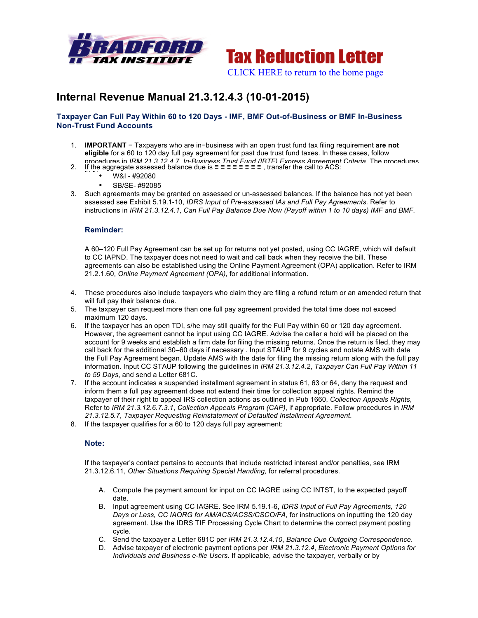



# **Internal Revenue Manual 21.3.12.4.3 (10-01-2015)**

## **Taxpayer Can Full Pay Within 60 to 120 Days - IMF, BMF Out-of-Business or BMF In-Business Non-Trust Fund Accounts**

- 1. **IMPORTANT** − Taxpayers who are in−business with an open trust fund tax filing requirement **are not eligible** for a 60 to 120 day full pay agreement for past due trust fund taxes. In these cases, follow procedures in *IRM 21.3.12.4.7*, *In-Business Trust Fund (IBTF) Express Agreement Criteria*. The procedures
- 2. If the aggregate assessed balance due is ≡ ≡ ≡ ≡ ≡ ≡ ≡ ≡, transfer the call to ACS:<br>  $\cdots$   $\cdots$   $\cdots$   $\cdots$   $\cdots$   $\cdots$   $\cdots$   $\cdots$   $\cdots$   $\cdots$   $\cdots$   $\cdots$   $\cdots$   $\cdots$   $\cdots$   $\cdots$   $\cdots$   $\cdots$   $\cdots$ 
	- W&I #92080
	- SB/SE- #92085
- 3. Such agreements may be granted on assessed or un-assessed balances. If the balance has not yet been assessed see Exhibit 5.19.1-10, *IDRS Input of Pre-assessed IAs and Full Pay Agreements.* Refer to instructions in *IRM 21.3.12.4.1*, *Can Full Pay Balance Due Now (Payoff within 1 to 10 days) IMF and BMF.*

### **Reminder:**

A 60–120 Full Pay Agreement can be set up for returns not yet posted, using CC IAGRE, which will default to CC IAPND. The taxpayer does not need to wait and call back when they receive the bill. These agreements can also be established using the Online Payment Agreement (OPA) application. Refer to IRM 21.2.1.60, *Online Payment Agreement (OPA)*, for additional information.

- 4. These procedures also include taxpayers who claim they are filing a refund return or an amended return that will full pay their balance due.
- 5. The taxpayer can request more than one full pay agreement provided the total time does not exceed maximum 120 days.
- 6. If the taxpayer has an open TDI, s/he may still qualify for the Full Pay within 60 or 120 day agreement. However, the agreement cannot be input using CC IAGRE. Advise the caller a hold will be placed on the account for 9 weeks and establish a firm date for filing the missing returns. Once the return is filed, they may call back for the additional 30–60 days if necessary . Input STAUP for 9 cycles and notate AMS with date the Full Pay Agreement began. Update AMS with the date for filing the missing return along with the full pay information. Input CC STAUP following the guidelines in *IRM 21.3.12.4.2*, *Taxpayer Can Full Pay Within 11 to 59 Days*, and send a Letter 681C.
- 7. If the account indicates a suspended installment agreement in status 61, 63 or 64, deny the request and inform them a full pay agreement does not extend their time for collection appeal rights. Remind the taxpayer of their right to appeal IRS collection actions as outlined in Pub 1660, *Collection Appeals Rights*, Refer to *IRM 21.3.12.6.7.3.1*, *Collection Appeals Program (CAP)*, if appropriate. Follow procedures in *IRM 21.3.12.5.7*, *Taxpayer Requesting Reinstatement of Defaulted Installment Agreement*.
- 8. If the taxpayer qualifies for a 60 to 120 days full pay agreement:

#### **Note:**

If the taxpayer's contact pertains to accounts that include restricted interest and/or penalties, see IRM 21.3.12.6.11, *Other Situations Requiring Special Handling,* for referral procedures.

- A. Compute the payment amount for input on CC IAGRE using CC INTST, to the expected payoff date.
- B. Input agreement using CC IAGRE. See IRM 5.19.1-6, *IDRS Input of Full Pay Agreements, 120 Days or Less, CC IAORG for AM/ACS/ACSS/CSCO/FA*, for instructions on inputting the 120 day agreement. Use the IDRS TIF Processing Cycle Chart to determine the correct payment posting cycle.
- C. Send the taxpayer a Letter 681C per *IRM 21.3.12.4.10*, *Balance Due Outgoing Correspondence*.
- D. Advise taxpayer of electronic payment options per *IRM 21.3.12.4*, *Electronic Payment Options for Individuals and Business e-file Users*. If applicable, advise the taxpayer, verbally or by